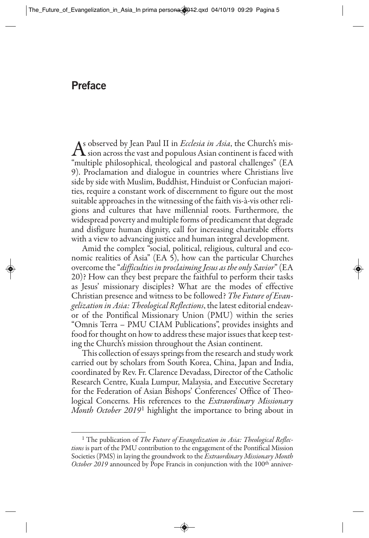## **Preface**

As observed by Jean Paul II in *Ecclesia in Asia*, the Church's mis-<br>"sion across the vast and populous Asian continent is faced with<br>"soultinly philosophical, theological and pertant, obtained" (EA "multiple philosophical, theological and pastoral challenges" (EA 9). Proclamation and dialogue in countries where Christians live side by side with Muslim, Buddhist, Hinduist or Confucian majorities, require a constant work of discernment to figure out the most suitable approaches in the witnessing of the faith vis-à-vis other religions and cultures that have millennial roots. Furthermore, the widespread poverty and multiple forms of predicament that degrade and disfigure human dignity, call for increasing charitable efforts with a view to advancing justice and human integral development.

Amid the complex "social, political, religious, cultural and economic realities of Asia" (EA 5), how can the particular Churches overcome the "*difficulties in proclaiming Jesus as the only Savior*" (EA 20)? How can they best prepare the faithful to perform their tasks as Jesus' missionary disciples? What are the modes of effective Christian presence and witness to be followed? *The Future of Evangelization in Asia: Theological Reflections*, the latest editorial endeavor of the Pontifical Missionary Union (PMU) within the series "Omnis Terra – PMU CIAM Publications", provides insights and food for thought on how to address these major issues that keep testing the Church's mission throughout the Asian continent.

This collection of essays springs from the research and study work carried out by scholars from South Korea, China, Japan and India, coordinated by Rev. Fr. Clarence Devadass, Director of the Catholic Research Centre, Kuala Lumpur, Malaysia, and Executive Secretary for the Federation of Asian Bishops' Conferences' Office of Theological Concerns. His references to the *Extraordinary Missionary Month October 2019*<sup>1</sup> highlight the importance to bring about in

<sup>&</sup>lt;sup>1</sup> The publication of *The Future of Evangelization in Asia: Theological Reflections* is part of the PMU contribution to the engagement of the Pontifical Mission Societies (PMS) in laying the groundwork to the *Extraordinary Missionary Month October 2019* announced by Pope Francis in conjunction with the 100<sup>th</sup> anniver-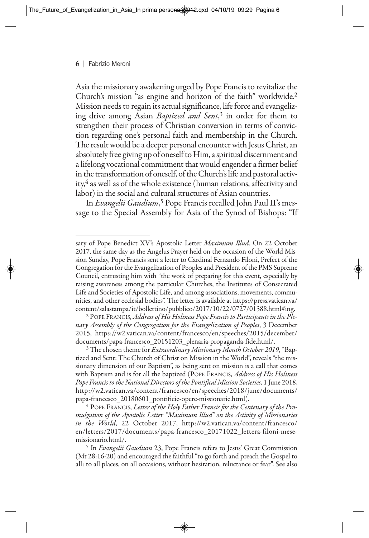Asia the missionary awakening urged by Pope Francis to revitalize the Church's mission "as engine and horizon of the faith" worldwide.2 Mission needs to regain its actual significance, life force and evangelizing drive among Asian *Baptized and Sent*, <sup>3</sup> in order for them to strengthen their process of Christian conversion in terms of conviction regarding one's personal faith and membership in the Church. The result would be a deeper personal encounter with Jesus Christ, an absolutely free giving up of oneself to Him, a spiritual discernment and a lifelong vocational commitment that would engender a firmer belief in the transformation of oneself, of the Church's life and pastoral activity,4 as well as of the whole existence (human relations, affectivity and labor) in the social and cultural structures of Asian countries.

In *Evangelii Gaudium*, <sup>5</sup> Pope Francis recalled John Paul II's message to the Special Assembly for Asia of the Synod of Bishops: "If

<sup>4</sup> POPE FRANCIS, *Letter of the Holy Father Francis for the Centenary of the Pro mulgation of the Apostolic Letter "Maximum Illud" on the Activity of Missionaries in the World*, 22 October 2017, http://w2.vatican.va/content/francesco/ en/letters/2017/documents/papa-francesco\_20171022\_lettera-filoni-mesemissionario.html/.

<sup>5</sup> In *Evangelii Gaudium* 23, Pope Francis refers to Jesus' Great Commission (Mt 28:16-20) and encouraged the faithful "to go forth and preach the Gospel to all: to all places, on all occasions, without hesitation, reluctance or fear". See also

sary of Pope Benedict XV's Apostolic Letter *Maximum Illud*. On 22 October 2017, the same day as the Angelus Prayer held on the occasion of the World Mission Sunday, Pope Francis sent a letter to Cardinal Fernando Filoni, Prefect of the Congregation for the Evangelization of Peoples and President of the PMS Supreme Council, entrusting him with "the work of preparing for this event, especially by raising awareness among the particular Churches, the Institutes of Consecrated Life and Societies of Apostolic Life, and among associations, movements, communities, and other ecclesial bodies". The letter is available at https://press.vatican.va/ content/salastampa/it/bollettino/pubblico/2017/10/22/0727/01588.html#ing.

<sup>2</sup> POPE FRANCIS, *Address of His Holiness Pope Francis to Participants in the Plenary Assembly of the Congregation for the Evangelization of Peoples*, 3 December 2015, https://w2.vatican.va/content/francesco/en/speeches/2015/december/ documents/papa-francesco\_20151203\_plenaria-propaganda-fide.html/.

<sup>3</sup> The chosen theme for *Extraordinary Missionary Month October 2019*, "Baptized and Sent: The Church of Christ on Mission in the World", reveals "the missionary dimension of our Baptism", as being sent on mission is a call that comes with Baptism and is for all the baptized (POPE FRANCIS, *Address of His Holiness Pope Francis to the National Directors of the Pontifical Mission Societies*, 1 June 2018, http://w2.vatican.va/content/francesco/en/speeches/2018/june/documents/ papa-francesco\_20180601\_pontificie-opere-missionarie.html).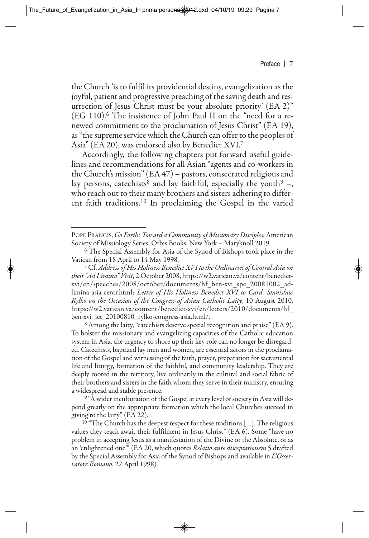the Church 'is to fulfil its providential destiny, evangelization as the joyful, patient and progressive preaching of the saving death and resurrection of Jesus Christ must be your absolute priority' (EA 2)"  $(EG 110)$ .<sup>6</sup> The insistence of John Paul II on the "need for a renewed commitment to the proclamation of Jesus Christ" (EA 19), as "the supreme service which the Church can offer to the peoples of Asia" (EA 20), was endorsed also by Benedict XVI.7

Accordingly, the following chapters put forward useful guidelines and recommendations for all Asian "agents and co-workers in the Church's mission" (EA 47) – pastors, consecrated religious and lay persons, catechists<sup>8</sup> and lay faithful, especially the youth<sup>9</sup> –, who reach out to their many brothers and sisters adhering to different faith traditions.10 In proclaiming the Gospel in the varied

<sup>8</sup> Among the laity, "catechists deserve special recognition and praise" (EA 9). To bolster the missionary and evangelizing capacities of the Catholic education system in Asia, the urgency to shore up their key role can no longer be disregarded. Catechists, baptized lay men and women, are essential actors in the proclamation of the Gospel and witnessing of the faith, prayer, preparation for sacramental life and liturgy, formation of the faithful, and community leadership. They are deeply rooted in the territory, live ordinarily in the cultural and social fabric of their brothers and sisters in the faith whom they serve in their ministry, ensuring a widespread and stable presence.

<sup>19</sup> "A wider inculturation of the Gospel at every level of society in Asia will depend greatly on the appropriate formation which the local Churches succeed in giving to the laity" (EA 22).

 $10$ <sup>"</sup> The Church has the deepest respect for these traditions [...]. The religious values they teach await their fulfilment in Jesus Christ" (EA 6). Some "have no problem in accepting Jesus as a manifestation of the Divine or the Absolute, or as an 'enlightened one'" (EA 20, which quotes *Relatio ante disceptationem* 5 drafted by the Special Assembly for Asia of the Synod of Bishops and available in *L'Osservatore Romano*, 22 April 1998).

POPE FRANCIS, *Go Forth: Toward a Community of Missionary Disciples*, American Society of Missiology Series, Orbis Books, New York – Maryknoll 2019.

<sup>&</sup>lt;sup>6</sup> The Special Assembly for Asia of the Synod of Bishops took place in the Vatican from 18 April to 14 May 1998.

<sup>17</sup> Cf. *Address of His Holiness Benedict XVI to the Ordinaries of Central Asia on their "Ad Limina" Visit*, 2 October 2008, https://w2.vatican.va/content/benedictxvi/en/speeches/2008/october/documents/hf\_ben-xvi\_spe\_20081002\_adlimina-asia-centr.html; *Letter of His Holiness Benedict XVI to Card. Stanisław Ryłko on the Occasion of the Congress of Asian Catholic Laity*, 10 August 2010, https://w2.vatican.va/content/benedict-xvi/en/letters/2010/documents/hf\_ ben-xvi\_let\_20100810\_rylko-congress-asia.html/.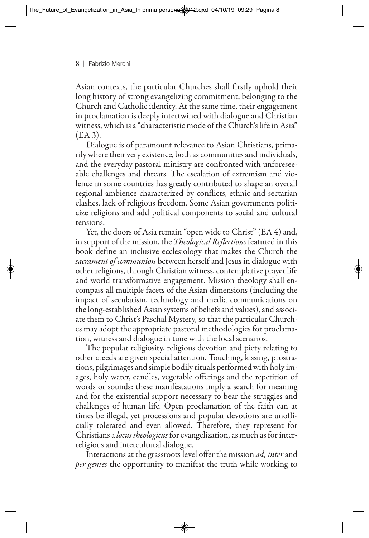Asian contexts, the particular Churches shall firstly uphold their long history of strong evangelizing commitment, belonging to the Church and Catholic identity. At the same time, their engagement in proclamation is deeply intertwined with dialogue and Christian witness, which is a "characteristic mode of the Church's life in Asia" (EA 3).

Dialogue is of paramount relevance to Asian Christians, primarily where their very existence, both as communities and individuals, and the everyday pastoral ministry are confronted with unforeseeable challenges and threats. The escalation of extremism and violence in some countries has greatly contributed to shape an overall regional ambience characterized by conflicts, ethnic and sectarian clashes, lack of religious freedom. Some Asian governments politicize religions and add political components to social and cultural tensions.

Yet, the doors of Asia remain "open wide to Christ" (EA 4) and, in support of the mission, the *Theological Reflections* featured in this book define an inclusive ecclesiology that makes the Church the *sacrament of communion* between herself and Jesus in dialogue with other religions, through Christian witness, contemplative prayer life and world transformative engagement. Mission theology shall encompass all multiple facets of the Asian dimensions (including the impact of secularism, technology and media communications on the long-established Asian systems of beliefs and values), and associate them to Christ's Paschal Mystery, so that the particular Churches may adopt the appropriate pastoral methodologies for proclamation, witness and dialogue in tune with the local scenarios.

The popular religiosity, religious devotion and piety relating to other creeds are given special attention. Touching, kissing, prostrations, pilgrimages and simple bodily rituals performed with holy images, holy water, candles, vegetable offerings and the repetition of words or sounds: these manifestations imply a search for meaning and for the existential support necessary to bear the struggles and challenges of human life. Open proclamation of the faith can at times be illegal, yet processions and popular devotions are unofficially tolerated and even allowed. Therefore, they represent for Christians a *locus theologicus* for evangelization, as much as for interreligious and intercultural dialogue.

Interactions at the grassroots level offer the mission *ad, inter* and *per gentes* the opportunity to manifest the truth while working to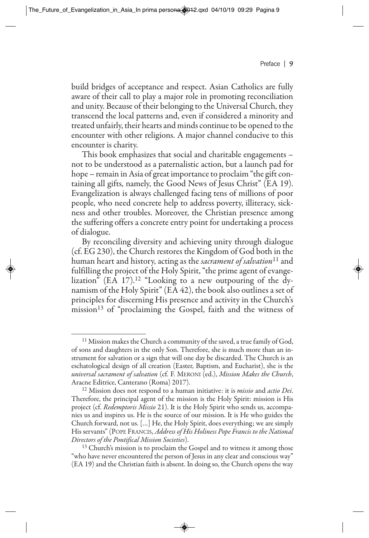build bridges of acceptance and respect. Asian Catholics are fully aware of their call to play a major role in promoting reconciliation and unity. Because of their belonging to the Universal Church, they transcend the local patterns and, even if considered a minority and treated unfairly, their hearts and minds continue to be opened to the encounter with other religions. A major channel conducive to this encounter is charity.

This book emphasizes that social and charitable engagements – not to be understood as a paternalistic action, but a launch pad for hope – remain in Asia of great importance to proclaim "the gift containing all gifts, namely, the Good News of Jesus Christ" (EA 19). Evangelization is always challenged facing tens of millions of poor people, who need concrete help to address poverty, illiteracy, sickness and other troubles. Moreover, the Christian presence among the suffering offers a concrete entry point for undertaking a process of dialogue.

By reconciling diversity and achieving unity through dialogue (cf. EG 230), the Church restores the Kingdom of God both in the human heart and history, acting as the *sacrament of salvation*<sup>11</sup> and fulfilling the project of the Holy Spirit, "the prime agent of evangelization" (EA 17).<sup>12</sup> "Looking to a new outpouring of the dynamism of the Holy Spirit" (EA 42), the book also outlines a set of principles for discerning His presence and activity in the Church's mission<sup>13</sup> of "proclaiming the Gospel, faith and the witness of

<sup>11</sup> Mission makes the Church a community of the saved, a true family of God, of sons and daughters in the only Son. Therefore, she is much more than an instrument for salvation or a sign that will one day be discarded. The Church is an eschatological design of all creation (Easter, Baptism, and Eucharist), she is the *universal sacrament of salvation* (cf. F. MERONI (ed.), *Mission Makes the Church*, Aracne Editrice, Canterano (Roma) 2017).

<sup>12</sup> Mission does not respond to a human initiative: it is *missio* and *actio Dei*. Therefore, the principal agent of the mission is the Holy Spirit: mission is His project (cf. *Redemptoris Missio* 21). It is the Holy Spirit who sends us, accompanies us and inspires us. He is the source of our mission. It is He who guides the Church forward, not us. […] He, the Holy Spirit, does everything; we are simply His servants" (POPE FRANCIS, *Address of His Holiness Pope Francis to the National Directors of the Pontifical Mission Societies*).

<sup>&</sup>lt;sup>13</sup> Church's mission is to proclaim the Gospel and to witness it among those "who have never encountered the person of Jesus in any clear and conscious way" (EA 19) and the Christian faith is absent. In doing so, the Church opens the way